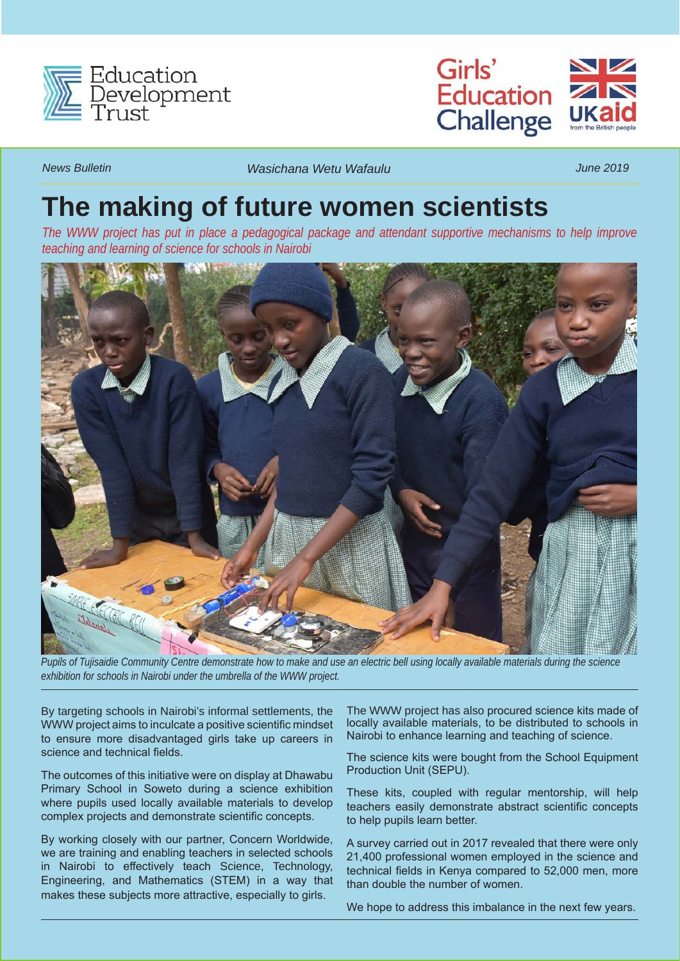



*News Bulletin Wasichana Wetu Wafaulu June 2019*

## **The making of future women scientists**

*The WWW project has put in place a pedagogical package and attendant supportive mechanisms to help improve teaching and learning of science for schools in Nairobi*



*Pupils of Tujisaidie Community Centre demonstrate how to make and use an electric bell using locally available materials during the science exhibition for schools in Nairobi under the umbrella of the WWW project.*

By targeting schools in Nairobi's informal settlements, the WWW project aims to inculcate a positive scientific mindset to ensure more disadvantaged girls take up careers in science and technical fields.

The outcomes of this initiative were on display at Dhawabu Primary School in Soweto during a science exhibition where pupils used locally available materials to develop complex projects and demonstrate scientific concepts.

By working closely with our partner, Concern Worldwide, we are training and enabling teachers in selected schools in Nairobi to effectively teach Science, Technology, Engineering, and Mathematics (STEM) in a way that makes these subjects more attractive, especially to girls.

The WWW project has also procured science kits made of locally available materials, to be distributed to schools in Nairobi to enhance learning and teaching of science.

The science kits were bought from the School Equipment Production Unit (SEPU).

These kits, coupled with regular mentorship, will help teachers easily demonstrate abstract scientific concepts to help pupils learn better.

A survey carried out in 2017 revealed that there were only 21,400 professional women employed in the science and technical fields in Kenya compared to 52,000 men, more than double the number of women.

We hope to address this imbalance in the next few years.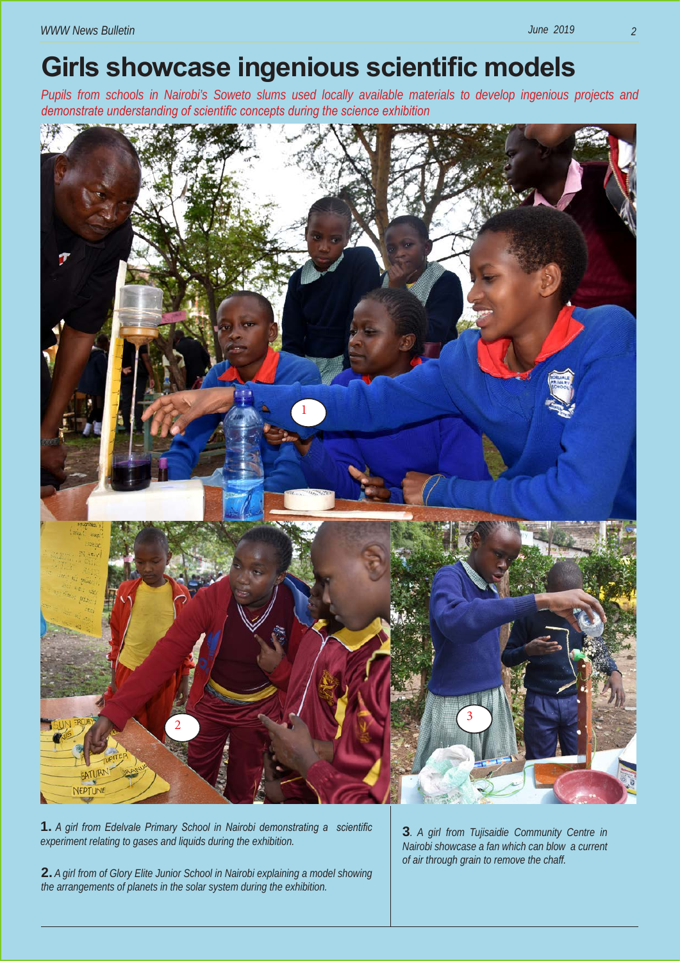## **Girls showcase ingenious scientific models**

*Pupils from schools in Nairobi's Soweto slums used locally available materials to develop ingenious projects and demonstrate understanding of scientific concepts during the science exhibition* 



**1.** *A girl from Edelvale Primary School in Nairobi demonstrating a scientific experiment relating to gases and liquids during the exhibition.*

**2.** *A girl from of Glory Elite Junior School in Nairobi explaining a model showing the arrangements of planets in the solar system during the exhibition.*

**3***. A girl from Tujisaidie Community Centre in Nairobi showcase a fan which can blow a current of air through grain to remove the chaff.*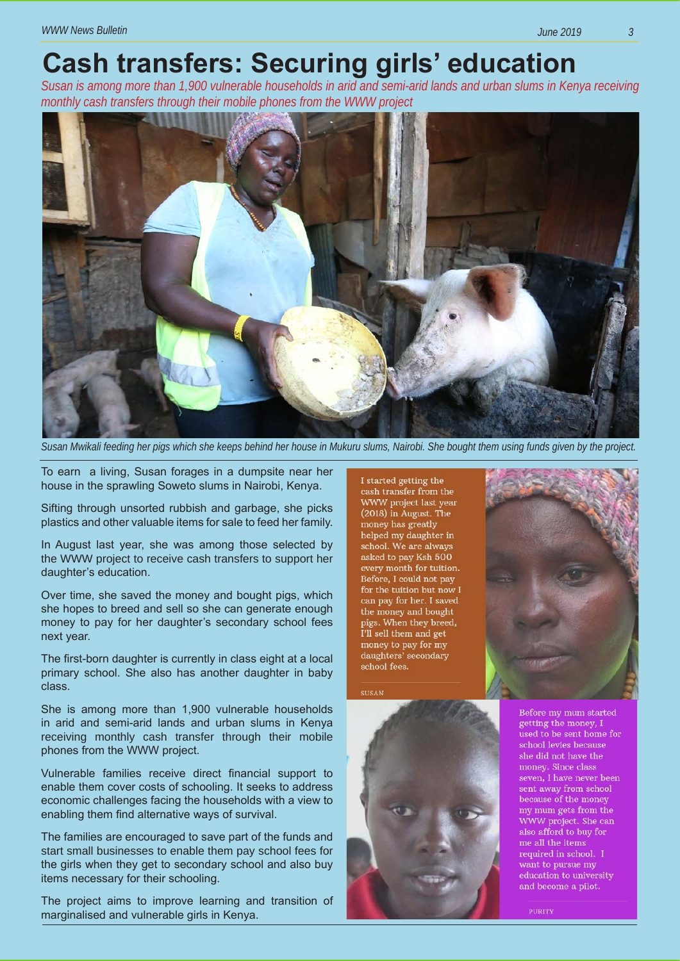## **Cash transfers: Securing girls' education**

*Susan is among more than 1,900 vulnerable households in arid and semi-arid lands and urban slums in Kenya receiving monthly cash transfers through their mobile phones from the WWW project*



*Susan Mwikali feeding her pigs which she keeps behind her house in Mukuru slums, Nairobi. She bought them using funds given by the project.*

To earn a living, Susan forages in a dumpsite near her house in the sprawling Soweto slums in Nairobi, Kenya.

Sifting through unsorted rubbish and garbage, she picks plastics and other valuable items for sale to feed her family.

In August last year, she was among those selected by the WWW project to receive cash transfers to support her daughter's education.

Over time, she saved the money and bought pigs, which she hopes to breed and sell so she can generate enough money to pay for her daughter's secondary school fees next year.

The first-born daughter is currently in class eight at a local primary school. She also has another daughter in baby class.

She is among more than 1,900 vulnerable households in arid and semi-arid lands and urban slums in Kenya receiving monthly cash transfer through their mobile phones from the WWW project.

Vulnerable families receive direct financial support to enable them cover costs of schooling. It seeks to address economic challenges facing the households with a view to enabling them find alternative ways of survival.

The families are encouraged to save part of the funds and start small businesses to enable them pay school fees for the girls when they get to secondary school and also buy items necessary for their schooling.

The project aims to improve learning and transition of marginalised and vulnerable girls in Kenya.

I started getting the cash transfer from the WWW project last year  $(2018)$  in August. The money has greatly helped my daughter in school. We are always asked to pay Ksh 500 every month for tuition. Before, I could not pay for the tuition but now I can pay for her. I saved the money and bought pigs. When they breed, I'll sell them and get money to pay for my daughters' secondary school fees.





Before my mum started getting the money, I used to be sent home for school levies because she did not have the money. Since class seven, I have never been sent away from school because of the money my mum gets from the WWW project. She can also afford to buy for me all the items required in school. I want to pursue my education to university and become a pilot.

PURITY